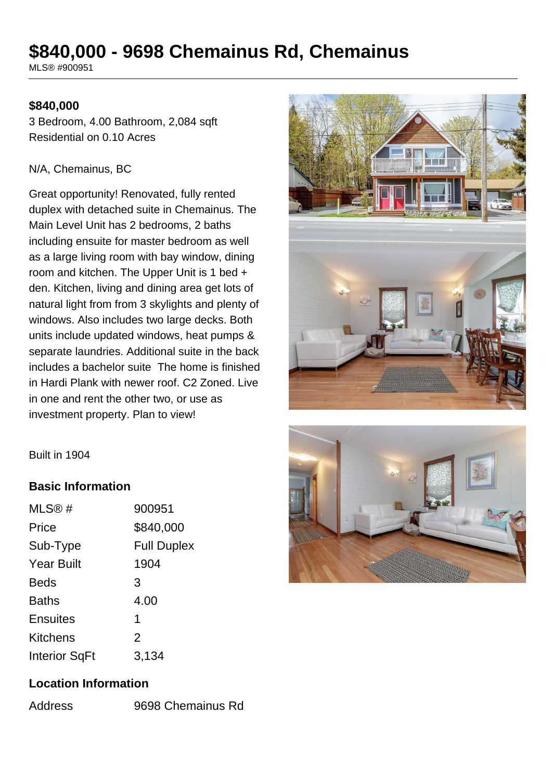# **\$840,000 - 9698 Chemainus Rd, Chemainus**

MLS® #900951

#### **\$840,000**

3 Bedroom, 4.00 Bathroom, 2,084 sqft Residential on 0.10 Acres

#### N/A, Chemainus, BC

Great opportunity! Renovated, fully rented duplex with detached suite in Chemainus. The Main Level Unit has 2 bedrooms, 2 baths including ensuite for master bedroom as well as a large living room with bay window, dining room and kitchen. The Upper Unit is 1 bed + den. Kitchen, living and dining area get lots of natural light from from 3 skylights and plenty of windows. Also includes two large decks. Both units include updated windows, heat pumps & separate laundries. Additional suite in the back includes a bachelor suite The home is finished in Hardi Plank with newer roof. C2 Zoned. Live in one and rent the other two, or use as investment property. Plan to view!





### **Basic Information**

| MLS@#                | 900951             |
|----------------------|--------------------|
| Price                | \$840,000          |
| Sub-Type             | <b>Full Duplex</b> |
| <b>Year Built</b>    | 1904               |
| <b>Beds</b>          | 3                  |
| <b>Baths</b>         | 4.00               |
| <b>Ensuites</b>      | 1                  |
| <b>Kitchens</b>      | $\overline{2}$     |
| <b>Interior SqFt</b> | 3,134              |

### **Location Information**

Address 9698 Chemainus Rd